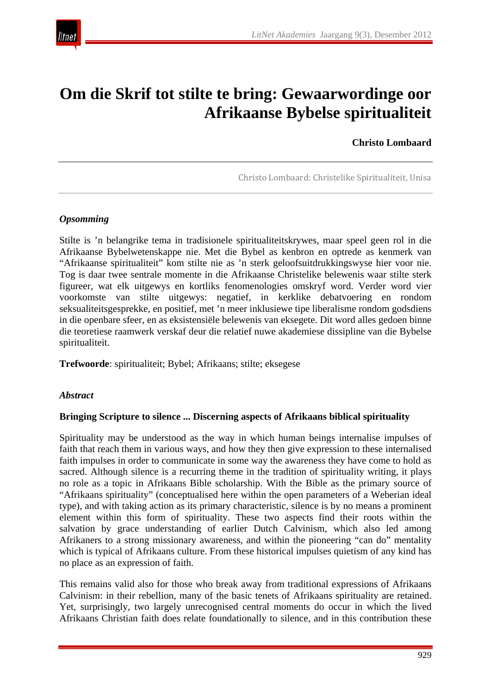

# **Om die Skrif tot stilte te bring: Gewaarwordinge oor Afrikaanse Bybelse spiritualiteit**

#### **Christo Lombaard**

Christo Lombaard: Christelike Spiritualiteit, Unisa

#### *Opsomming*

Stilte is 'n belangrike tema in tradisionele spiritualiteitskrywes, maar speel geen rol in die Afrikaanse Bybelwetenskappe nie. Met die Bybel as kenbron en optrede as kenmerk van "Afrikaanse spiritualiteit" kom stilte nie as 'n sterk geloofsuitdrukkingswyse hier voor nie. Tog is daar twee sentrale momente in die Afrikaanse Christelike belewenis waar stilte sterk figureer, wat elk uitgewys en kortliks fenomenologies omskryf word. Verder word vier voorkomste van stilte uitgewys: negatief, in kerklike debatvoering en rondom seksualiteitsgesprekke, en positief, met 'n meer inklusiewe tipe liberalisme rondom godsdiens in die openbare sfeer, en as eksistensiële belewenis van eksegete. Dit word alles gedoen binne die teoretiese raamwerk verskaf deur die relatief nuwe akademiese dissipline van die Bybelse spiritualiteit.

**Trefwoorde**: spiritualiteit; Bybel; Afrikaans; stilte; eksegese

#### *Abstract*

#### **Bringing Scripture to silence ... Discerning aspects of Afrikaans biblical spirituality**

Spirituality may be understood as the way in which human beings internalise impulses of faith that reach them in various ways, and how they then give expression to these internalised faith impulses in order to communicate in some way the awareness they have come to hold as sacred. Although silence is a recurring theme in the tradition of spirituality writing, it plays no role as a topic in Afrikaans Bible scholarship. With the Bible as the primary source of "Afrikaans spirituality" (conceptualised here within the open parameters of a Weberian ideal type), and with taking action as its primary characteristic, silence is by no means a prominent element within this form of spirituality. These two aspects find their roots within the salvation by grace understanding of earlier Dutch Calvinism, which also led among Afrikaners to a strong missionary awareness, and within the pioneering "can do" mentality which is typical of Afrikaans culture. From these historical impulses quietism of any kind has no place as an expression of faith.

This remains valid also for those who break away from traditional expressions of Afrikaans Calvinism: in their rebellion, many of the basic tenets of Afrikaans spirituality are retained. Yet, surprisingly, two largely unrecognised central moments do occur in which the lived Afrikaans Christian faith does relate foundationally to silence, and in this contribution these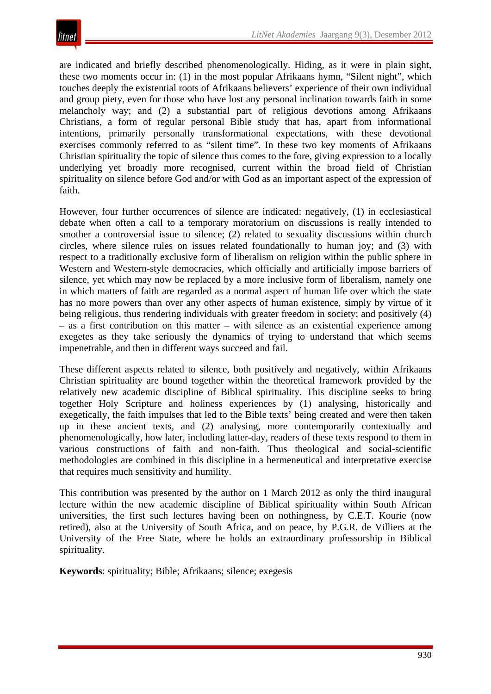are indicated and briefly described phenomenologically. Hiding, as it were in plain sight, these two moments occur in: (1) in the most popular Afrikaans hymn, "Silent night", which touches deeply the existential roots of Afrikaans believers' experience of their own individual and group piety, even for those who have lost any personal inclination towards faith in some melancholy way; and (2) a substantial part of religious devotions among Afrikaans Christians, a form of regular personal Bible study that has, apart from informational intentions, primarily personally transformational expectations, with these devotional exercises commonly referred to as "silent time". In these two key moments of Afrikaans Christian spirituality the topic of silence thus comes to the fore, giving expression to a locally underlying yet broadly more recognised, current within the broad field of Christian spirituality on silence before God and/or with God as an important aspect of the expression of faith.

However, four further occurrences of silence are indicated: negatively, (1) in ecclesiastical debate when often a call to a temporary moratorium on discussions is really intended to smother a controversial issue to silence; (2) related to sexuality discussions within church circles, where silence rules on issues related foundationally to human joy; and (3) with respect to a traditionally exclusive form of liberalism on religion within the public sphere in Western and Western-style democracies, which officially and artificially impose barriers of silence, yet which may now be replaced by a more inclusive form of liberalism, namely one in which matters of faith are regarded as a normal aspect of human life over which the state has no more powers than over any other aspects of human existence, simply by virtue of it being religious, thus rendering individuals with greater freedom in society; and positively (4) – as a first contribution on this matter – with silence as an existential experience among exegetes as they take seriously the dynamics of trying to understand that which seems impenetrable, and then in different ways succeed and fail.

These different aspects related to silence, both positively and negatively, within Afrikaans Christian spirituality are bound together within the theoretical framework provided by the relatively new academic discipline of Biblical spirituality. This discipline seeks to bring together Holy Scripture and holiness experiences by (1) analysing, historically and exegetically, the faith impulses that led to the Bible texts' being created and were then taken up in these ancient texts, and (2) analysing, more contemporarily contextually and phenomenologically, how later, including latter-day, readers of these texts respond to them in various constructions of faith and non-faith. Thus theological and social-scientific methodologies are combined in this discipline in a hermeneutical and interpretative exercise that requires much sensitivity and humility.

This contribution was presented by the author on 1 March 2012 as only the third inaugural lecture within the new academic discipline of Biblical spirituality within South African universities, the first such lectures having been on nothingness, by C.E.T. Kourie (now retired), also at the University of South Africa, and on peace, by P.G.R. de Villiers at the University of the Free State, where he holds an extraordinary professorship in Biblical spirituality.

**Keywords**: spirituality; Bible; Afrikaans; silence; exegesis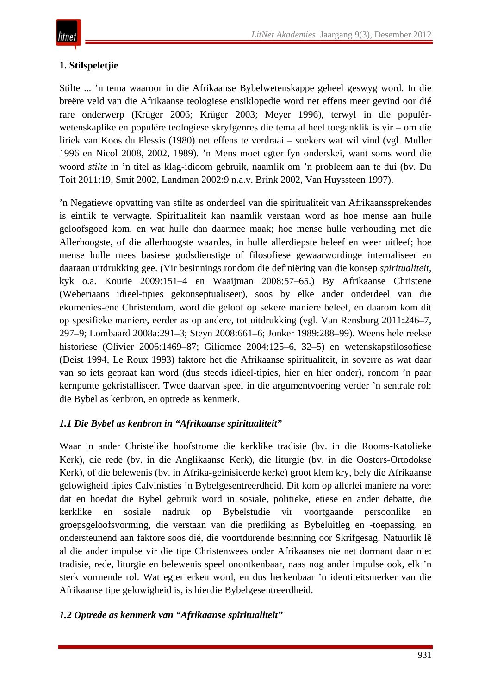# **1. Stilspeletjie**

Stilte ... 'n tema waaroor in die Afrikaanse Bybelwetenskappe geheel geswyg word. In die breëre veld van die Afrikaanse teologiese ensiklopedie word net effens meer gevind oor dié rare onderwerp (Krüger 2006; Krüger 2003; Meyer 1996), terwyl in die populêrwetenskaplike en populêre teologiese skryfgenres die tema al heel toeganklik is vir – om die liriek van Koos du Plessis (1980) net effens te verdraai – soekers wat wil vind (vgl. Muller 1996 en Nicol 2008, 2002, 1989). 'n Mens moet egter fyn onderskei, want soms word die woord *stilte* in 'n titel as klag-idioom gebruik, naamlik om 'n probleem aan te dui (bv. Du Toit 2011:19, Smit 2002, Landman 2002:9 n.a.v. Brink 2002, Van Huyssteen 1997).

'n Negatiewe opvatting van stilte as onderdeel van die spiritualiteit van Afrikaanssprekendes is eintlik te verwagte. Spiritualiteit kan naamlik verstaan word as hoe mense aan hulle geloofsgoed kom, en wat hulle dan daarmee maak; hoe mense hulle verhouding met die Allerhoogste, of die allerhoogste waardes, in hulle allerdiepste beleef en weer uitleef; hoe mense hulle mees basiese godsdienstige of filosofiese gewaarwordinge internaliseer en daaraan uitdrukking gee. (Vir besinnings rondom die definiëring van die konsep *spiritualiteit*, kyk o.a. Kourie 2009:151–4 en Waaijman 2008:57–65.) By Afrikaanse Christene (Weberiaans idieel-tipies gekonseptualiseer), soos by elke ander onderdeel van die ekumenies-ene Christendom, word die geloof op sekere maniere beleef, en daarom kom dit op spesifieke maniere, eerder as op andere, tot uitdrukking (vgl. Van Rensburg 2011:246–7, 297–9; Lombaard 2008a:291–3; Steyn 2008:661–6; Jonker 1989:288–99). Weens hele reekse historiese (Olivier 2006:1469–87; Giliomee 2004:125–6, 32–5) en wetenskapsfilosofiese (Deist 1994, Le Roux 1993) faktore het die Afrikaanse spiritualiteit, in soverre as wat daar van so iets gepraat kan word (dus steeds idieel-tipies, hier en hier onder), rondom 'n paar kernpunte gekristalliseer. Twee daarvan speel in die argumentvoering verder 'n sentrale rol: die Bybel as kenbron, en optrede as kenmerk.

## *1.1 Die Bybel as kenbron in "Afrikaanse spiritualiteit"*

Waar in ander Christelike hoofstrome die kerklike tradisie (bv. in die Rooms-Katolieke Kerk), die rede (bv. in die Anglikaanse Kerk), die liturgie (bv. in die Oosters-Ortodokse Kerk), of die belewenis (bv. in Afrika-geïnisieerde kerke) groot klem kry, bely die Afrikaanse gelowigheid tipies Calvinisties 'n Bybelgesentreerdheid. Dit kom op allerlei maniere na vore: dat en hoedat die Bybel gebruik word in sosiale, politieke, etiese en ander debatte, die kerklike en sosiale nadruk op Bybelstudie vir voortgaande persoonlike en groepsgeloofsvorming, die verstaan van die prediking as Bybeluitleg en -toepassing, en ondersteunend aan faktore soos dié, die voortdurende besinning oor Skrifgesag. Natuurlik lê al die ander impulse vir die tipe Christenwees onder Afrikaanses nie net dormant daar nie: tradisie, rede, liturgie en belewenis speel onontkenbaar, naas nog ander impulse ook, elk 'n sterk vormende rol. Wat egter erken word, en dus herkenbaar 'n identiteitsmerker van die Afrikaanse tipe gelowigheid is, is hierdie Bybelgesentreerdheid.

# *1.2 Optrede as kenmerk van "Afrikaanse spiritualiteit"*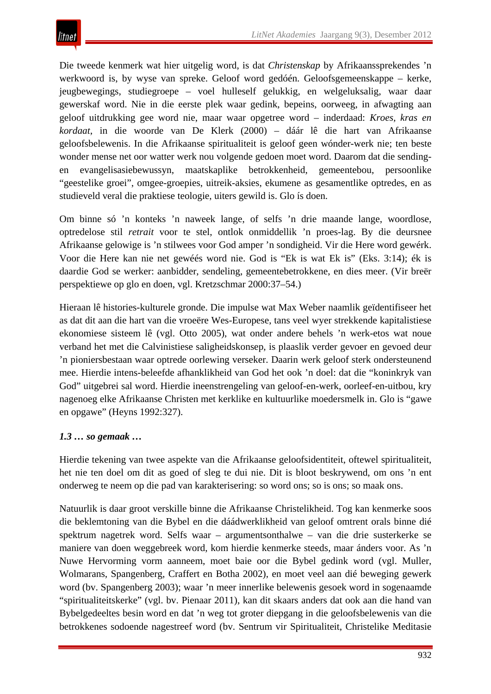Die tweede kenmerk wat hier uitgelig word, is dat *Christenskap* by Afrikaanssprekendes 'n werkwoord is, by wyse van spreke. Geloof word gedóén. Geloofsgemeenskappe – kerke, jeugbewegings, studiegroepe – voel hulleself gelukkig, en welgeluksalig, waar daar gewerskaf word. Nie in die eerste plek waar gedink, bepeins, oorweeg, in afwagting aan geloof uitdrukking gee word nie, maar waar opgetree word – inderdaad: *Kroes, kras en kordaat*, in die woorde van De Klerk (2000) – dáár lê die hart van Afrikaanse geloofsbelewenis. In die Afrikaanse spiritualiteit is geloof geen wónder-werk nie; ten beste wonder mense net oor watter werk nou volgende gedoen moet word. Daarom dat die sendingen evangelisasiebewussyn, maatskaplike betrokkenheid, gemeentebou, persoonlike "geestelike groei", omgee-groepies, uitreik-aksies, ekumene as gesamentlike optredes, en as studieveld veral die praktiese teologie, uiters gewild is. Glo ís doen.

Om binne só 'n konteks 'n naweek lange, of selfs 'n drie maande lange, woordlose, optredelose stil *retrait* voor te stel, ontlok onmiddellik 'n proes-lag. By die deursnee Afrikaanse gelowige is 'n stilwees voor God amper 'n sondigheid. Vir die Here word gewérk. Voor die Here kan nie net gewéés word nie. God is "Ek is wat Ek is" (Eks. 3:14); ék is daardie God se werker: aanbidder, sendeling, gemeentebetrokkene, en dies meer. (Vir breër perspektiewe op glo en doen, vgl. Kretzschmar 2000:37–54.)

Hieraan lê histories-kulturele gronde. Die impulse wat Max Weber naamlik geïdentifiseer het as dat dit aan die hart van die vroeëre Wes-Europese, tans veel wyer strekkende kapitalistiese ekonomiese sisteem lê (vgl. Otto 2005), wat onder andere behels 'n werk-etos wat noue verband het met die Calvinistiese saligheidskonsep, is plaaslik verder gevoer en gevoed deur 'n pioniersbestaan waar optrede oorlewing verseker. Daarin werk geloof sterk ondersteunend mee. Hierdie intens-beleefde afhanklikheid van God het ook 'n doel: dat die "koninkryk van God" uitgebrei sal word. Hierdie ineenstrengeling van geloof-en-werk, oorleef-en-uitbou, kry nagenoeg elke Afrikaanse Christen met kerklike en kultuurlike moedersmelk in. Glo is "gawe en opgawe" (Heyns 1992:327).

## *1.3 … so gemaak …*

Hierdie tekening van twee aspekte van die Afrikaanse geloofsidentiteit, oftewel spiritualiteit, het nie ten doel om dit as goed of sleg te dui nie. Dit is bloot beskrywend, om ons 'n ent onderweg te neem op die pad van karakterisering: so word ons; so is ons; so maak ons.

Natuurlik is daar groot verskille binne die Afrikaanse Christelikheid. Tog kan kenmerke soos die beklemtoning van die Bybel en die dáádwerklikheid van geloof omtrent orals binne dié spektrum nagetrek word. Selfs waar – argumentsonthalwe – van die drie susterkerke se maniere van doen weggebreek word, kom hierdie kenmerke steeds, maar ánders voor. As 'n Nuwe Hervorming vorm aanneem, moet baie oor die Bybel gedink word (vgl. Muller, Wolmarans, Spangenberg, Craffert en Botha 2002), en moet veel aan dié beweging gewerk word (bv. Spangenberg 2003); waar 'n meer innerlike belewenis gesoek word in sogenaamde "spiritualiteitskerke" (vgl. bv. Pienaar 2011), kan dit skaars anders dat ook aan die hand van Bybelgedeeltes besin word en dat 'n weg tot groter diepgang in die geloofsbelewenis van die betrokkenes sodoende nagestreef word (bv. Sentrum vir Spiritualiteit, Christelike Meditasie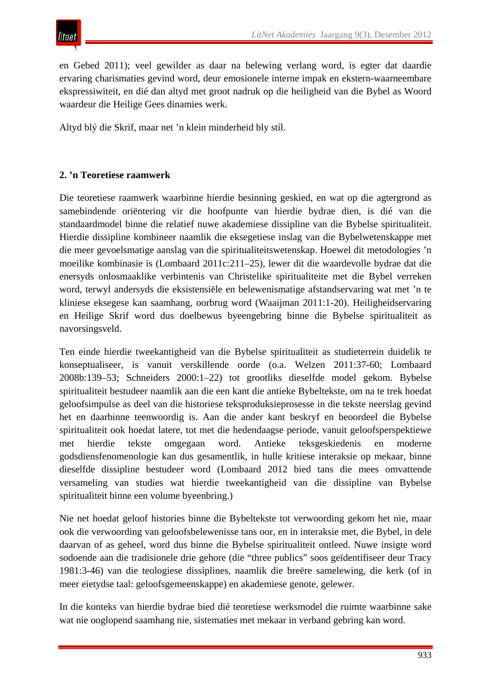en Gebed 2011); veel gewilder as daar na belewing verlang word, is egter dat daardie ervaring charismaties gevind word, deur emosionele interne impak en ekstern-waarneembare ekspressiwiteit, en dié dan altyd met groot nadruk op die heiligheid van die Bybel as Woord waardeur die Heilige Gees dinamies werk.

Altyd blý die Skrif, maar net 'n klein minderheid bly stíl.

#### **2. 'n Teoretiese raamwerk**

Die teoretiese raamwerk waarbinne hierdie besinning geskied, en wat op die agtergrond as samebindende oriëntering vir die hoofpunte van hierdie bydrae dien, is dié van die standaardmodel binne die relatief nuwe akademiese dissipline van die Bybelse spiritualiteit. Hierdie dissipline kombineer naamlik die eksegetiese inslag van die Bybelwetenskappe met die meer gevoelsmatige aanslag van die spiritualiteitswetenskap. Hoewel dit metodologies 'n moeilike kombinasie is (Lombaard 2011c:211–25), lewer dit die waardevolle bydrae dat die enersyds onlosmaaklike verbintenis van Christelike spiritualiteite met die Bybel verreken word, terwyl andersyds die eksistensiële en belewenismatige afstandservaring wat met 'n te kliniese eksegese kan saamhang, oorbrug word (Waaijman 2011:1-20). Heiligheidservaring en Heilige Skrif word dus doelbewus byeengebring binne die Bybelse spiritualiteit as navorsingsveld.

Ten einde hierdie tweekantigheid van die Bybelse spiritualiteit as studieterrein duidelik te konseptualiseer, is vanuit verskillende oorde (o.a. Welzen 2011:37-60; Lombaard 2008b:139–53; Schneiders 2000:1–22) tot grootliks dieselfde model gekom. Bybelse spiritualiteit bestudeer naamlik aan die een kant die antieke Bybeltekste, om na te trek hoedat geloofsimpulse as deel van die historiese teksproduksieprosesse in die tekste neerslag gevind het en daarbinne teenwoordig is. Aan die ander kant beskryf en beoordeel die Bybelse spiritualiteit ook hoedat latere, tot met die hedendaagse periode, vanuit geloofsperspektiewe met hierdie tekste omgegaan word. Antieke teksgeskiedenis en moderne godsdiensfenomenologie kan dus gesamentlik, in hulle kritiese interaksie op mekaar, binne dieselfde dissipline bestudeer word (Lombaard 2012 bied tans die mees omvattende versameling van studies wat hierdie tweekantigheid van die dissipline van Bybelse spiritualiteit binne een volume byeenbring.)

Nie net hoedat geloof histories binne die Bybeltekste tot verwoording gekom het nie, maar ook die verwoording van geloofsbelewenisse tans oor, en in interaksie met, die Bybel, in dele daarvan of as geheel, word dus binne die Bybelse spiritualiteit ontleed. Nuwe insigte word sodoende aan die tradisionele drie gehore (die "three publics" soos geïdentifiseer deur Tracy 1981:3-46) van die teologiese dissiplines, naamlik die breëre samelewing, die kerk (of in meer eietydse taal: geloofsgemeenskappe) en akademiese genote, gelewer.

In die konteks van hierdie bydrae bied dié teoretiese werksmodel die ruimte waarbinne sake wat nie ooglopend saamhang nie, sistematies met mekaar in verband gebring kan word.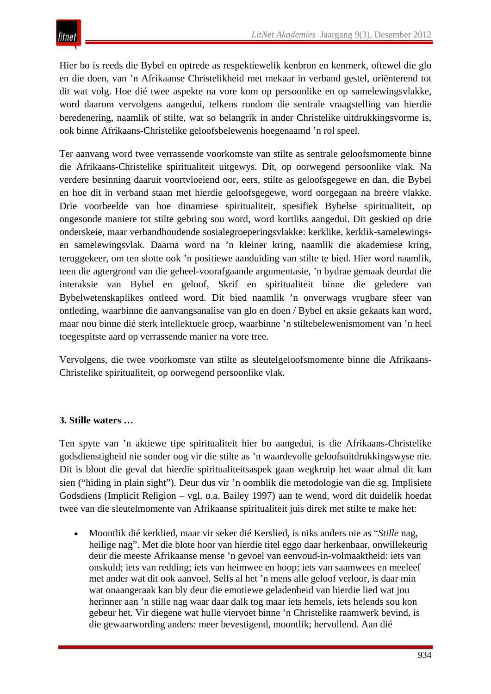Hier bo is reeds die Bybel en optrede as respektiewelik kenbron en kenmerk, oftewel die glo en die doen, van 'n Afrikaanse Christelikheid met mekaar in verband gestel, oriënterend tot dit wat volg. Hoe dié twee aspekte na vore kom op persoonlike en op samelewingsvlakke, word daarom vervolgens aangedui, telkens rondom die sentrale vraagstelling van hierdie beredenering, naamlik of stilte, wat so belangrik in ander Christelike uitdrukkingsvorme is, ook binne Afrikaans-Christelike geloofsbelewenis hoegenaamd 'n rol speel.

Ter aanvang word twee verrassende voorkomste van stilte as sentrale geloofsmomente binne die Afrikaans-Christelike spiritualiteit uitgewys. Dít, op oorwegend persoonlike vlak. Na verdere besinning daaruit voortvloeiend oor, eers, stilte as geloofsgegewe en dan, die Bybel en hoe dit in verband staan met hierdie geloofsgegewe, word oorgegaan na breëre vlakke. Drie voorbeelde van hoe dinamiese spiritualiteit, spesifiek Bybelse spiritualiteit, op ongesonde maniere tot stilte gebring sou word, word kortliks aangedui. Dit geskied op drie onderskeie, maar verbandhoudende sosialegroeperingsvlakke: kerklike, kerklik-samelewingsen samelewingsvlak. Daarna word na 'n kleiner kring, naamlik die akademiese kring, teruggekeer, om ten slotte ook 'n positiewe aanduiding van stilte te bied. Hier word naamlik, teen die agtergrond van die geheel-voorafgaande argumentasie, 'n bydrae gemaak deurdat die interaksie van Bybel en geloof, Skrif en spiritualiteit binne die geledere van Bybelwetenskaplikes ontleed word. Dit bied naamlik 'n onverwags vrugbare sfeer van ontleding, waarbinne die aanvangsanalise van glo en doen / Bybel en aksie gekaats kan word, maar nou binne dié sterk intellektuele groep, waarbinne 'n stiltebelewenismoment van 'n heel toegespitste aard op verrassende manier na vore tree.

Vervolgens, die twee voorkomste van stilte as sleutelgeloofsmomente binne die Afrikaans-Christelike spiritualiteit, op oorwegend persoonlike vlak.

#### **3. Stille waters …**

Ten spyte van 'n aktiewe tipe spiritualiteit hier bo aangedui, is die Afrikaans-Christelike godsdienstigheid nie sonder oog vir die stilte as 'n waardevolle geloofsuitdrukkingswyse nie. Dit is bloot die geval dat hierdie spiritualiteitsaspek gaan wegkruip het waar almal dit kan sien ("hiding in plain sight"). Deur dus vir 'n oomblik die metodologie van die sg. Implisiete Godsdiens (Implicit Religion – vgl. o.a. Bailey 1997) aan te wend, word dit duidelik hoedat twee van die sleutelmomente van Afrikaanse spiritualiteit juis direk met stilte te make het:

• Moontlik dié kerklied, maar vir seker dié Kerslied, is niks anders nie as "*Stille* nag, heilige nag". Met die blote hoor van hierdie titel eggo daar herkenbaar, onwillekeurig deur die meeste Afrikaanse mense 'n gevoel van eenvoud-in-volmaaktheid: iets van onskuld; iets van redding; iets van heimwee en hoop; iets van saamwees en meeleef met ander wat dit ook aanvoel. Selfs al het 'n mens alle geloof verloor, is daar min wat onaangeraak kan bly deur die emotiewe geladenheid van hierdie lied wat jou herinner aan 'n stille nag waar daar dalk tog maar iets hemels, iets helends sou kon gebeur het. Vir diegene wat hulle viervoet binne 'n Christelike raamwerk bevind, is die gewaarwording anders: meer bevestigend, moontlik; hervullend. Aan dié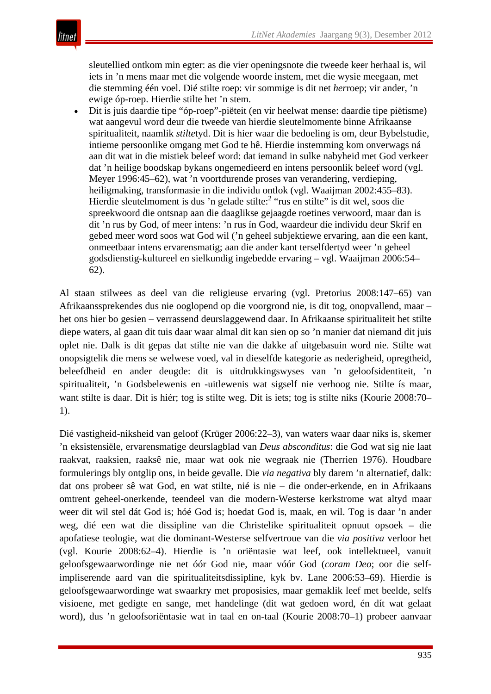sleutellied ontkom min egter: as die vier openingsnote die tweede keer herhaal is, wil iets in 'n mens maar met die volgende woorde instem, met die wysie meegaan, met die stemming één voel. Dié stilte roep: vir sommige is dit net *her*roep; vir ander, 'n ewige óp-roep. Hierdie stilte het 'n stem.

• Dit is juis daardie tipe "óp-roep"-piëteit (en vir heelwat mense: daardie tipe piëtisme) wat aangevul word deur die tweede van hierdie sleutelmomente binne Afrikaanse spiritualiteit, naamlik *stilte*tyd. Dit is hier waar die bedoeling is om, deur Bybelstudie, intieme persoonlike omgang met God te hê. Hierdie instemming kom onverwags ná aan dit wat in die mistiek beleef word: dat iemand in sulke nabyheid met God verkeer dat 'n heilige boodskap bykans ongemedieerd en intens persoonlik beleef word (vgl. Meyer 1996:45–62), wat 'n voortdurende proses van verandering, verdieping, heiligmaking, transformasie in die individu ontlok (vgl. Waaijman 2002:455–83). Hierdie sleutelmoment is dus 'n gelade stilte:<sup>2</sup> "rus en stilte" is dit wel, soos die spreekwoord die ontsnap aan die daaglikse gejaagde roetines verwoord, maar dan is dit 'n rus by God, of meer intens: 'n rus ín God, waardeur die individu deur Skrif en gebed meer word soos wat God wil ('n geheel subjektiewe ervaring, aan die een kant, onmeetbaar intens ervarensmatig; aan die ander kant terselfdertyd weer 'n geheel godsdienstig-kultureel en sielkundig ingebedde ervaring – vgl. Waaijman 2006:54– 62).

Al staan stilwees as deel van die religieuse ervaring (vgl. Pretorius 2008:147–65) van Afrikaanssprekendes dus nie ooglopend op die voorgrond nie, is dit tog, onopvallend, maar – het ons hier bo gesien – verrassend deurslaggewend daar. In Afrikaanse spiritualiteit het stilte diepe waters, al gaan dit tuis daar waar almal dit kan sien op so 'n manier dat niemand dit juis oplet nie. Dalk is dit gepas dat stilte nie van die dakke af uitgebasuin word nie. Stilte wat onopsigtelik die mens se welwese voed, val in dieselfde kategorie as nederigheid, opregtheid, beleefdheid en ander deugde: dit is uitdrukkingswyses van 'n geloofsidentiteit, 'n spiritualiteit, 'n Godsbelewenis en -uitlewenis wat sigself nie verhoog nie. Stilte ís maar, want stilte is daar. Dit is hiér; tog is stilte weg. Dit is iets; tog is stilte niks (Kourie 2008:70– 1).

Dié vastigheid-niksheid van geloof (Krüger 2006:22–3), van waters waar daar niks is, skemer 'n eksistensiële, ervarensmatige deurslagblad van *Deus absconditus*: die God wat sig nie laat raakvat, raaksien, raaksê nie, maar wat ook nie wegraak nie (Therrien 1976). Houdbare formulerings bly ontglip ons, in beide gevalle. Die *via negativa* bly darem 'n alternatief, dalk: dat ons probeer sê wat God, en wat stilte, nié is nie – die onder-erkende, en in Afrikaans omtrent geheel-onerkende, teendeel van die modern-Westerse kerkstrome wat altyd maar weer dit wil stel dát God is; hóé God is; hoedat God is, maak, en wil. Tog is daar 'n ander weg, dié een wat die dissipline van die Christelike spiritualiteit opnuut opsoek – die apofatiese teologie, wat die dominant-Westerse selfvertroue van die *via positiva* verloor het (vgl. Kourie 2008:62–4). Hierdie is 'n oriëntasie wat leef, ook intellektueel, vanuit geloofsgewaarwordinge nie net óór God nie, maar vóór God (*coram Deo*; oor die selfimpliserende aard van die spiritualiteitsdissipline, kyk bv. Lane 2006:53–69)*.* Hierdie is geloofsgewaarwordinge wat swaarkry met proposisies, maar gemaklik leef met beelde, selfs visioene, met gedigte en sange, met handelinge (dit wat gedoen word, én dít wat gelaat word), dus 'n geloofsoriëntasie wat in taal en on-taal (Kourie 2008:70–1) probeer aanvaar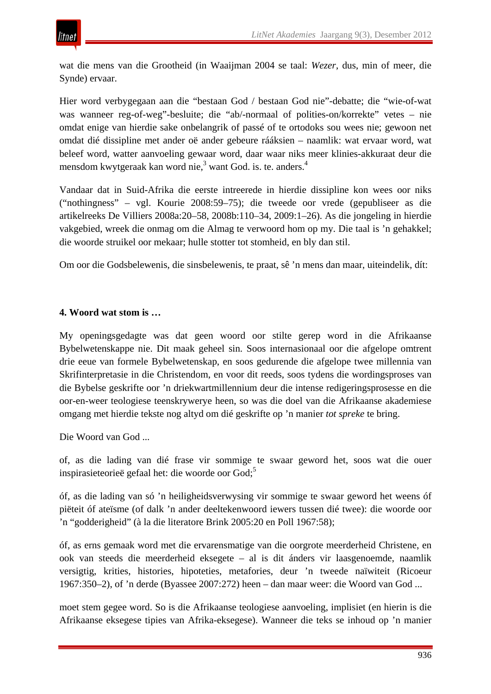wat die mens van die Grootheid (in Waaijman 2004 se taal: *Wezer*, dus, min of meer, die Synde) ervaar.

Hier word verbygegaan aan die "bestaan God / bestaan God nie"-debatte; die "wie-of-wat was wanneer reg-of-weg"-besluite; die "ab/-normaal of polities-on/korrekte" vetes – nie omdat enige van hierdie sake onbelangrik of passé of te ortodoks sou wees nie; gewoon net omdat dié dissipline met ander oë ander gebeure rááksien – naamlik: wat ervaar word, wat beleef word, watter aanvoeling gewaar word, daar waar niks meer klinies-akkuraat deur die mensdom kwytgeraak kan word nie, $3 \text{ want God.}$  is. te. anders. $4 \text{ hours}$ 

Vandaar dat in Suid-Afrika die eerste intreerede in hierdie dissipline kon wees oor niks ("nothingness" – vgl. Kourie 2008:59–75); die tweede oor vrede (gepubliseer as die artikelreeks De Villiers 2008a:20–58, 2008b:110–34, 2009:1–26). As die jongeling in hierdie vakgebied, wreek die onmag om die Almag te verwoord hom op my. Die taal is 'n gehakkel; die woorde struikel oor mekaar; hulle stotter tot stomheid, en bly dan stil.

Om oor die Godsbelewenis, die sinsbelewenis, te praat, sê 'n mens dan maar, uiteindelik, dít:

#### **4. Woord wat stom is …**

My openingsgedagte was dat geen woord oor stilte gerep word in die Afrikaanse Bybelwetenskappe nie. Dit maak geheel sin. Soos internasionaal oor die afgelope omtrent drie eeue van formele Bybelwetenskap, en soos gedurende die afgelope twee millennia van Skrifinterpretasie in die Christendom, en voor dit reeds, soos tydens die wordingsproses van die Bybelse geskrifte oor 'n driekwartmillennium deur die intense redigeringsprosesse en die oor-en-weer teologiese teenskrywerye heen, so was die doel van die Afrikaanse akademiese omgang met hierdie tekste nog altyd om dié geskrifte op 'n manier *tot spreke* te bring.

Die Woord van God ...

of, as die lading van dié frase vir sommige te swaar geword het, soos wat die ouer inspirasieteorieë gefaal het: die woorde oor God;<sup>5</sup>

óf, as die lading van só 'n heiligheidsverwysing vir sommige te swaar geword het weens óf piëteit óf ateïsme (of dalk 'n ander deeltekenwoord iewers tussen dié twee): die woorde oor 'n "godderigheid" (à la die literatore Brink 2005:20 en Poll 1967:58);

óf, as erns gemaak word met die ervarensmatige van die oorgrote meerderheid Christene, en ook van steeds die meerderheid eksegete – al is dit ánders vir laasgenoemde, naamlik versigtig, krities, histories, hipoteties, metafories, deur 'n tweede naïwiteit (Ricoeur 1967:350–2), of 'n derde (Byassee 2007:272) heen – dan maar weer: die Woord van God ...

moet stem gegee word. So is die Afrikaanse teologiese aanvoeling, implisiet (en hierin is die Afrikaanse eksegese tipies van Afrika-eksegese). Wanneer die teks se inhoud op 'n manier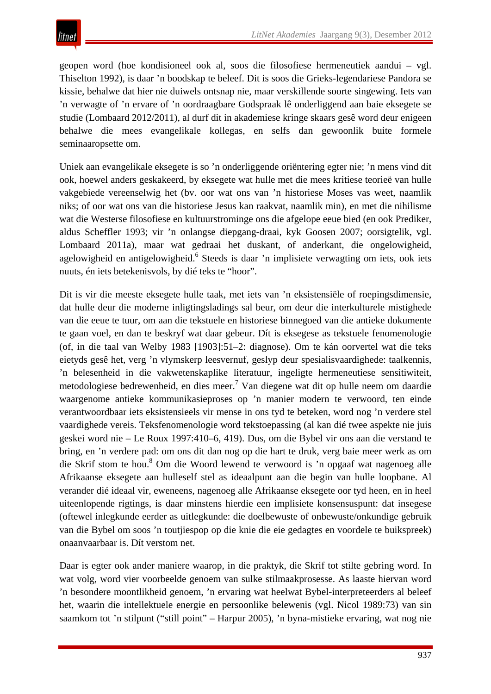geopen word (hoe kondisioneel ook al, soos die filosofiese hermeneutiek aandui – vgl. Thiselton 1992), is daar 'n boodskap te beleef. Dit is soos die Grieks-legendariese Pandora se kissie, behalwe dat hier nie duiwels ontsnap nie, maar verskillende soorte singewing. Iets van 'n verwagte of 'n ervare of 'n oordraagbare Godspraak lê onderliggend aan baie eksegete se studie (Lombaard 2012/2011), al durf dit in akademiese kringe skaars gesê word deur enigeen behalwe die mees evangelikale kollegas, en selfs dan gewoonlik buite formele seminaaropsette om.

Uniek aan evangelikale eksegete is so 'n onderliggende oriëntering egter nie; 'n mens vind dit ook, hoewel anders geskakeerd, by eksegete wat hulle met die mees kritiese teorieë van hulle vakgebiede vereenselwig het (bv. oor wat ons van 'n historiese Moses vas weet, naamlik niks; of oor wat ons van die historiese Jesus kan raakvat, naamlik min), en met die nihilisme wat die Westerse filosofiese en kultuurstrominge ons die afgelope eeue bied (en ook Prediker, aldus Scheffler 1993; vir 'n onlangse diepgang-draai, kyk Goosen 2007; oorsigtelik, vgl. Lombaard 2011a), maar wat gedraai het duskant, of anderkant, die ongelowigheid, agelowigheid en antigelowigheid.<sup>6</sup> Steeds is daar 'n implisiete verwagting om iets, ook iets nuuts, én iets betekenisvols, by dié teks te "hoor".

Dit is vir die meeste eksegete hulle taak, met iets van 'n eksistensiële of roepingsdimensie, dat hulle deur die moderne inligtingsladings sal beur, om deur die interkulturele mistighede van die eeue te tuur, om aan die tekstuele en historiese binnegoed van die antieke dokumente te gaan voel, en dan te beskryf wat daar gebeur. Dít is eksegese as tekstuele fenomenologie (of, in die taal van Welby 1983 [1903]:51–2: diagnose). Om te kán oorvertel wat die teks eietyds gesê het, verg 'n vlymskerp leesvernuf, geslyp deur spesialisvaardighede: taalkennis, 'n belesenheid in die vakwetenskaplike literatuur, ingeligte hermeneutiese sensitiwiteit, metodologiese bedrewenheid, en dies meer.<sup>7</sup> Van diegene wat dit op hulle neem om daardie waargenome antieke kommunikasieproses op 'n manier modern te verwoord, ten einde verantwoordbaar iets eksistensieels vir mense in ons tyd te beteken, word nog 'n verdere stel vaardighede vereis. Teksfenomenologie word tekstoepassing (al kan dié twee aspekte nie juis geskei word nie – Le Roux 1997:410–6, 419). Dus, om die Bybel vir ons aan die verstand te bring, en 'n verdere pad: om ons dit dan nog op die hart te druk, verg baie meer werk as om die Skrif stom te hou.8 Om die Woord lewend te verwoord is 'n opgaaf wat nagenoeg alle Afrikaanse eksegete aan hulleself stel as ideaalpunt aan die begin van hulle loopbane. Al verander dié ideaal vir, eweneens, nagenoeg alle Afrikaanse eksegete oor tyd heen, en in heel uiteenlopende rigtings, is daar minstens hierdie een implisiete konsensuspunt: dat insegese (oftewel inlegkunde eerder as uitlegkunde: die doelbewuste of onbewuste/onkundige gebruik van die Bybel om soos 'n toutjiespop op die knie die eie gedagtes en voordele te buikspreek) onaanvaarbaar is. Dít verstom net.

Daar is egter ook ander maniere waarop, in die praktyk, die Skrif tot stilte gebring word. In wat volg, word vier voorbeelde genoem van sulke stilmaakprosesse. As laaste hiervan word 'n besondere moontlikheid genoem, 'n ervaring wat heelwat Bybel-interpreteerders al beleef het, waarin die intellektuele energie en persoonlike belewenis (vgl. Nicol 1989:73) van sin saamkom tot 'n stilpunt ("still point" – Harpur 2005), 'n byna-mistieke ervaring, wat nog nie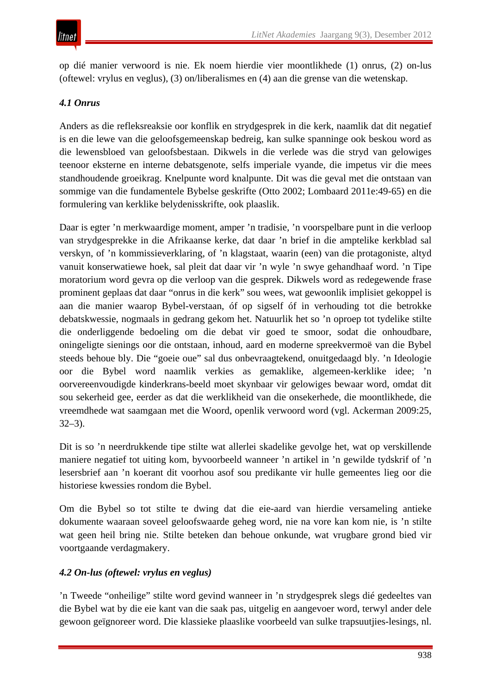op dié manier verwoord is nie. Ek noem hierdie vier moontlikhede (1) onrus, (2) on-lus (oftewel: vrylus en veglus), (3) on/liberalismes en (4) aan die grense van die wetenskap.

# *4.1 Onrus*

Anders as die refleksreaksie oor konflik en strydgesprek in die kerk, naamlik dat dit negatief is en die lewe van die geloofsgemeenskap bedreig, kan sulke spanninge ook beskou word as die lewensbloed van geloofsbestaan. Dikwels in die verlede was die stryd van gelowiges teenoor eksterne en interne debatsgenote, selfs imperiale vyande, die impetus vir die mees standhoudende groeikrag. Knelpunte word knalpunte. Dit was die geval met die ontstaan van sommige van die fundamentele Bybelse geskrifte (Otto 2002; Lombaard 2011e:49-65) en die formulering van kerklike belydenisskrifte, ook plaaslik.

Daar is egter 'n merkwaardige moment, amper 'n tradisie, 'n voorspelbare punt in die verloop van strydgesprekke in die Afrikaanse kerke, dat daar 'n brief in die amptelike kerkblad sal verskyn, of 'n kommissieverklaring, of 'n klagstaat, waarin (een) van die protagoniste, altyd vanuit konserwatiewe hoek, sal pleit dat daar vir 'n wyle 'n swye gehandhaaf word. 'n Tipe moratorium word gevra op die verloop van die gesprek. Dikwels word as redegewende frase prominent geplaas dat daar "onrus in die kerk" sou wees, wat gewoonlik implisiet gekoppel is aan die manier waarop Bybel-verstaan, óf op sigself óf in verhouding tot die betrokke debatskwessie, nogmaals in gedrang gekom het. Natuurlik het so 'n oproep tot tydelike stilte die onderliggende bedoeling om die debat vir goed te smoor, sodat die onhoudbare, oningeligte sienings oor die ontstaan, inhoud, aard en moderne spreekvermoë van die Bybel steeds behoue bly. Die "goeie oue" sal dus onbevraagtekend, onuitgedaagd bly. 'n Ideologie oor die Bybel word naamlik verkies as gemaklike, algemeen-kerklike idee; 'n oorvereenvoudigde kinderkrans-beeld moet skynbaar vir gelowiges bewaar word, omdat dit sou sekerheid gee, eerder as dat die werklikheid van die onsekerhede, die moontlikhede, die vreemdhede wat saamgaan met die Woord, openlik verwoord word (vgl. Ackerman 2009:25, 32–3).

Dit is so 'n neerdrukkende tipe stilte wat allerlei skadelike gevolge het, wat op verskillende maniere negatief tot uiting kom, byvoorbeeld wanneer 'n artikel in 'n gewilde tydskrif of 'n lesersbrief aan 'n koerant dit voorhou asof sou predikante vir hulle gemeentes lieg oor die historiese kwessies rondom die Bybel.

Om die Bybel so tot stilte te dwing dat die eie-aard van hierdie versameling antieke dokumente waaraan soveel geloofswaarde geheg word, nie na vore kan kom nie, is 'n stilte wat geen heil bring nie. Stilte beteken dan behoue onkunde, wat vrugbare grond bied vir voortgaande verdagmakery.

## *4.2 On-lus (oftewel: vrylus en veglus)*

'n Tweede "onheilige" stilte word gevind wanneer in 'n strydgesprek slegs dié gedeeltes van die Bybel wat by die eie kant van die saak pas, uitgelig en aangevoer word, terwyl ander dele gewoon geïgnoreer word. Die klassieke plaaslike voorbeeld van sulke trapsuutjies-lesings, nl.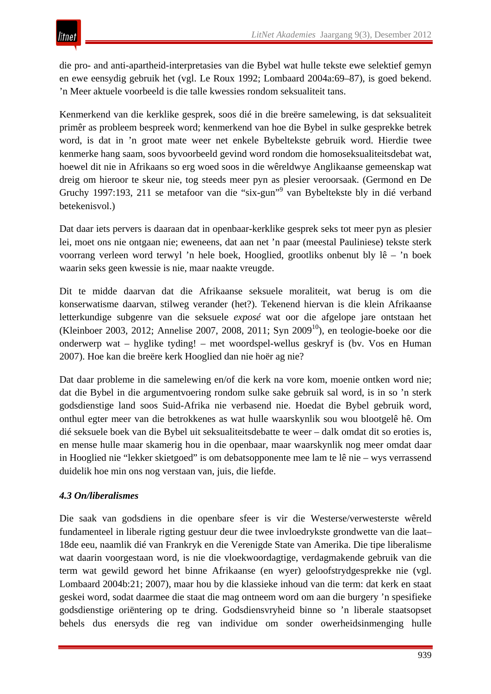die pro- and anti-apartheid-interpretasies van die Bybel wat hulle tekste ewe selektief gemyn en ewe eensydig gebruik het (vgl. Le Roux 1992; Lombaard 2004a:69–87), is goed bekend. 'n Meer aktuele voorbeeld is die talle kwessies rondom seksualiteit tans.

Kenmerkend van die kerklike gesprek, soos dié in die breëre samelewing, is dat seksualiteit primêr as probleem bespreek word; kenmerkend van hoe die Bybel in sulke gesprekke betrek word, is dat in 'n groot mate weer net enkele Bybeltekste gebruik word. Hierdie twee kenmerke hang saam, soos byvoorbeeld gevind word rondom die homoseksualiteitsdebat wat, hoewel dit nie in Afrikaans so erg woed soos in die wêreldwye Anglikaanse gemeenskap wat dreig om hieroor te skeur nie, tog steeds meer pyn as plesier veroorsaak. (Germond en De Gruchy 1997:193, 211 se metafoor van die "six-gun"<sup>9</sup> van Bybeltekste bly in dié verband betekenisvol.)

Dat daar iets pervers is daaraan dat in openbaar-kerklike gesprek seks tot meer pyn as plesier lei, moet ons nie ontgaan nie; eweneens, dat aan net 'n paar (meestal Pauliniese) tekste sterk voorrang verleen word terwyl 'n hele boek, Hooglied, grootliks onbenut bly lê – 'n boek waarin seks geen kwessie is nie, maar naakte vreugde.

Dit te midde daarvan dat die Afrikaanse seksuele moraliteit, wat berug is om die konserwatisme daarvan, stilweg verander (het?). Tekenend hiervan is die klein Afrikaanse letterkundige subgenre van die seksuele *exposé* wat oor die afgelope jare ontstaan het (Kleinboer 2003, 2012; Annelise 2007, 2008, 2011; Syn 2009<sup>10</sup>), en teologie-boeke oor die onderwerp wat – hyglike tyding! – met woordspel-wellus geskryf is (bv. Vos en Human 2007). Hoe kan die breëre kerk Hooglied dan nie hoër ag nie?

Dat daar probleme in die samelewing en/of die kerk na vore kom, moenie ontken word nie; dat die Bybel in die argumentvoering rondom sulke sake gebruik sal word, is in so 'n sterk godsdienstige land soos Suid-Afrika nie verbasend nie. Hoedat die Bybel gebruik word, onthul egter meer van die betrokkenes as wat hulle waarskynlik sou wou blootgelê hê. Om dié seksuele boek van die Bybel uit seksualiteitsdebatte te weer – dalk omdat dit so eroties is, en mense hulle maar skamerig hou in die openbaar, maar waarskynlik nog meer omdat daar in Hooglied nie "lekker skietgoed" is om debatsopponente mee lam te lê nie – wys verrassend duidelik hoe min ons nog verstaan van, juis, die liefde.

#### *4.3 On/liberalismes*

Die saak van godsdiens in die openbare sfeer is vir die Westerse/verwesterste wêreld fundamenteel in liberale rigting gestuur deur die twee invloedrykste grondwette van die laat– 18de eeu, naamlik dié van Frankryk en die Verenigde State van Amerika. Die tipe liberalisme wat daarin voorgestaan word, is nie die vloekwoordagtige, verdagmakende gebruik van die term wat gewild geword het binne Afrikaanse (en wyer) geloofstrydgesprekke nie (vgl. Lombaard 2004b:21; 2007), maar hou by die klassieke inhoud van die term: dat kerk en staat geskei word, sodat daarmee die staat die mag ontneem word om aan die burgery 'n spesifieke godsdienstige oriëntering op te dring. Godsdiensvryheid binne so 'n liberale staatsopset behels dus enersyds die reg van individue om sonder owerheidsinmenging hulle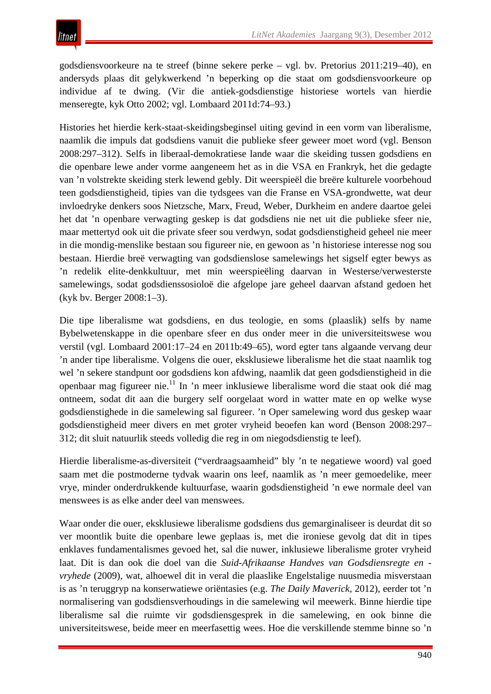godsdiensvoorkeure na te streef (binne sekere perke – vgl. bv. Pretorius 2011:219–40), en andersyds plaas dit gelykwerkend 'n beperking op die staat om godsdiensvoorkeure op individue af te dwing. (Vir die antiek-godsdienstige historiese wortels van hierdie menseregte, kyk Otto 2002; vgl. Lombaard 2011d:74–93.)

Histories het hierdie kerk-staat-skeidingsbeginsel uiting gevind in een vorm van liberalisme, naamlik die impuls dat godsdiens vanuit die publieke sfeer geweer moet word (vgl. Benson 2008:297–312). Selfs in liberaal-demokratiese lande waar die skeiding tussen godsdiens en die openbare lewe ander vorme aangeneem het as in die VSA en Frankryk, het die gedagte van 'n volstrekte skeiding sterk lewend gebly. Dit weerspieël die breëre kulturele voorbehoud teen godsdienstigheid, tipies van die tydsgees van die Franse en VSA-grondwette, wat deur invloedryke denkers soos Nietzsche, Marx, Freud, Weber, Durkheim en andere daartoe gelei het dat 'n openbare verwagting geskep is dat godsdiens nie net uit die publieke sfeer nie, maar mettertyd ook uit die private sfeer sou verdwyn, sodat godsdienstigheid geheel nie meer in die mondig-menslike bestaan sou figureer nie, en gewoon as 'n historiese interesse nog sou bestaan. Hierdie breë verwagting van godsdienslose samelewings het sigself egter bewys as 'n redelik elite-denkkultuur, met min weerspieëling daarvan in Westerse/verwesterste samelewings, sodat godsdienssosioloë die afgelope jare geheel daarvan afstand gedoen het (kyk bv. Berger 2008:1–3).

Die tipe liberalisme wat godsdiens, en dus teologie, en soms (plaaslik) selfs by name Bybelwetenskappe in die openbare sfeer en dus onder meer in die universiteitswese wou verstil (vgl. Lombaard 2001:17–24 en 2011b:49–65), word egter tans algaande vervang deur 'n ander tipe liberalisme. Volgens die ouer, eksklusiewe liberalisme het die staat naamlik tog wel 'n sekere standpunt oor godsdiens kon afdwing, naamlik dat geen godsdienstigheid in die openbaar mag figureer nie.11 In 'n meer inklusiewe liberalisme word die staat ook dié mag ontneem, sodat dit aan die burgery self oorgelaat word in watter mate en op welke wyse godsdienstighede in die samelewing sal figureer. 'n Oper samelewing word dus geskep waar godsdienstigheid meer divers en met groter vryheid beoefen kan word (Benson 2008:297– 312; dit sluit natuurlik steeds volledig die reg in om niegodsdienstig te leef).

Hierdie liberalisme-as-diversiteit ("verdraagsaamheid" bly 'n te negatiewe woord) val goed saam met die postmoderne tydvak waarin ons leef, naamlik as 'n meer gemoedelike, meer vrye, minder onderdrukkende kultuurfase, waarin godsdienstigheid 'n ewe normale deel van menswees is as elke ander deel van menswees.

Waar onder die ouer, eksklusiewe liberalisme godsdiens dus gemarginaliseer is deurdat dit so ver moontlik buite die openbare lewe geplaas is, met die ironiese gevolg dat dit in tipes enklaves fundamentalismes gevoed het, sal die nuwer, inklusiewe liberalisme groter vryheid laat. Dit is dan ook die doel van die *Suid-Afrikaanse Handves van Godsdiensregte en vryhede* (2009), wat, alhoewel dit in veral die plaaslike Engelstalige nuusmedia misverstaan is as 'n teruggryp na konserwatiewe oriëntasies (e.g. *The Daily Maverick*, 2012), eerder tot 'n normalisering van godsdiensverhoudings in die samelewing wil meewerk. Binne hierdie tipe liberalisme sal die ruimte vir godsdiensgesprek in die samelewing, en ook binne die universiteitswese, beide meer en meerfasettig wees. Hoe die verskillende stemme binne so 'n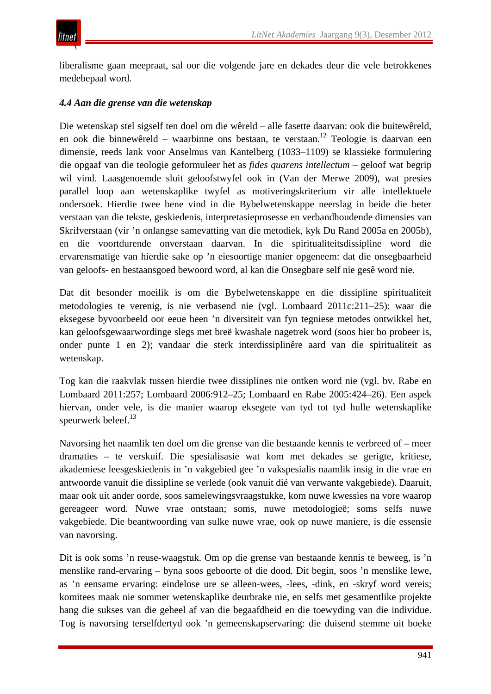liberalisme gaan meepraat, sal oor die volgende jare en dekades deur die vele betrokkenes medebepaal word.

#### *4.4 Aan die grense van die wetenskap*

Die wetenskap stel sigself ten doel om die wêreld – alle fasette daarvan: ook die buitewêreld, en ook die binnewêreld – waarbinne ons bestaan, te verstaan.<sup>12</sup> Teologie is daarvan een dimensie, reeds lank voor Anselmus van Kantelberg (1033–1109) se klassieke formulering die opgaaf van die teologie geformuleer het as *fides quarens intellectum* – geloof wat begrip wil vind. Laasgenoemde sluit geloofstwyfel ook in (Van der Merwe 2009), wat presies parallel loop aan wetenskaplike twyfel as motiveringskriterium vir alle intellektuele ondersoek. Hierdie twee bene vind in die Bybelwetenskappe neerslag in beide die beter verstaan van die tekste, geskiedenis, interpretasieprosesse en verbandhoudende dimensies van Skrifverstaan (vir 'n onlangse samevatting van die metodiek, kyk Du Rand 2005a en 2005b), en die voortdurende onverstaan daarvan. In die spiritualiteitsdissipline word die ervarensmatige van hierdie sake op 'n eiesoortige manier opgeneem: dat die onsegbaarheid van geloofs- en bestaansgoed bewoord word, al kan die Onsegbare self nie gesê word nie.

Dat dit besonder moeilik is om die Bybelwetenskappe en die dissipline spiritualiteit metodologies te verenig, is nie verbasend nie (vgl. Lombaard 2011c:211–25): waar die eksegese byvoorbeeld oor eeue heen 'n diversiteit van fyn tegniese metodes ontwikkel het, kan geloofsgewaarwordinge slegs met breë kwashale nagetrek word (soos hier bo probeer is, onder punte 1 en 2); vandaar die sterk interdissiplinêre aard van die spiritualiteit as wetenskap.

Tog kan die raakvlak tussen hierdie twee dissiplines nie ontken word nie (vgl. bv. Rabe en Lombaard 2011:257; Lombaard 2006:912–25; Lombaard en Rabe 2005:424–26). Een aspek hiervan, onder vele, is die manier waarop eksegete van tyd tot tyd hulle wetenskaplike speurwerk beleef. $^{13}$ 

Navorsing het naamlik ten doel om die grense van die bestaande kennis te verbreed of – meer dramaties – te verskuif. Die spesialisasie wat kom met dekades se gerigte, kritiese, akademiese leesgeskiedenis in 'n vakgebied gee 'n vakspesialis naamlik insig in die vrae en antwoorde vanuit die dissipline se verlede (ook vanuit dié van verwante vakgebiede). Daaruit, maar ook uit ander oorde, soos samelewingsvraagstukke, kom nuwe kwessies na vore waarop gereageer word. Nuwe vrae ontstaan; soms, nuwe metodologieë; soms selfs nuwe vakgebiede. Die beantwoording van sulke nuwe vrae, ook op nuwe maniere, is die essensie van navorsing.

Dit is ook soms 'n reuse-waagstuk. Om op die grense van bestaande kennis te beweeg, is 'n menslike rand-ervaring – byna soos geboorte of die dood. Dit begin, soos 'n menslike lewe, as 'n eensame ervaring: eindelose ure se alleen-wees, -lees, -dink, en -skryf word vereis; komitees maak nie sommer wetenskaplike deurbrake nie, en selfs met gesamentlike projekte hang die sukses van die geheel af van die begaafdheid en die toewyding van die individue. Tog is navorsing terselfdertyd ook 'n gemeenskapservaring: die duisend stemme uit boeke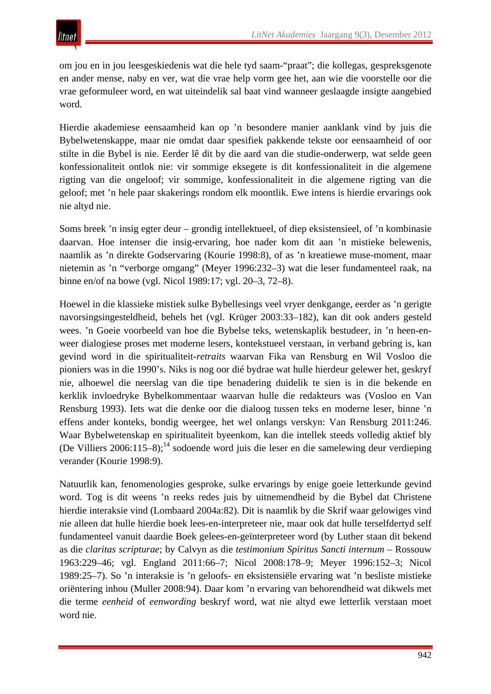om jou en in jou leesgeskiedenis wat die hele tyd saam-"praat"; die kollegas, gespreksgenote en ander mense, naby en ver, wat die vrae help vorm gee het, aan wie die voorstelle oor die vrae geformuleer word, en wat uiteindelik sal baat vind wanneer geslaagde insigte aangebied word.

Hierdie akademiese eensaamheid kan op 'n besondere manier aanklank vind by juis die Bybelwetenskappe, maar nie omdat daar spesifiek pakkende tekste oor eensaamheid of oor stilte in die Bybel is nie. Eerder lê dit by die aard van die studie-onderwerp, wat selde geen konfessionaliteit ontlok nie: vir sommige eksegete is dit konfessionaliteit in die algemene rigting van die ongeloof; vir sommige, konfessionaliteit in die algemene rigting van die geloof; met 'n hele paar skakerings rondom elk moontlik. Ewe intens is hierdie ervarings ook nie altyd nie.

Soms breek 'n insig egter deur – grondig intellektueel, of diep eksistensieel, of 'n kombinasie daarvan. Hoe intenser die insig-ervaring, hoe nader kom dit aan 'n mistieke belewenis, naamlik as 'n direkte Godservaring (Kourie 1998:8), of as 'n kreatiewe muse-moment, maar nietemin as 'n "verborge omgang" (Meyer 1996:232–3) wat die leser fundamenteel raak, na binne en/of na bowe (vgl. Nicol 1989:17; vgl. 20–3, 72–8).

Hoewel in die klassieke mistiek sulke Bybellesings veel vryer denkgange, eerder as 'n gerigte navorsingsingesteldheid, behels het (vgl. Krüger 2003:33–182), kan dit ook anders gesteld wees. 'n Goeie voorbeeld van hoe die Bybelse teks, wetenskaplik bestudeer, in 'n heen-enweer dialogiese proses met moderne lesers, kontekstueel verstaan, in verband gebring is, kan gevind word in die spiritualiteit-*retraits* waarvan Fika van Rensburg en Wil Vosloo die pioniers was in die 1990's. Niks is nog oor dié bydrae wat hulle hierdeur gelewer het, geskryf nie, alhoewel die neerslag van die tipe benadering duidelik te sien is in die bekende en kerklik invloedryke Bybelkommentaar waarvan hulle die redakteurs was (Vosloo en Van Rensburg 1993). Iets wat die denke oor die dialoog tussen teks en moderne leser, binne 'n effens ander konteks, bondig weergee, het wel onlangs verskyn: Van Rensburg 2011:246. Waar Bybelwetenskap en spiritualiteit byeenkom, kan die intellek steeds volledig aktief bly (De Villiers  $2006:115-8$ );<sup>14</sup> sodoende word juis die leser en die samelewing deur verdieping verander (Kourie 1998:9).

Natuurlik kan, fenomenologies gesproke, sulke ervarings by enige goeie letterkunde gevind word. Tog is dit weens 'n reeks redes juis by uitnemendheid by die Bybel dat Christene hierdie interaksie vind (Lombaard 2004a:82). Dit is naamlik by die Skrif waar gelowiges vind nie alleen dat hulle hierdie boek lees-en-interpreteer nie, maar ook dat hulle terselfdertyd self fundamenteel vanuit daardie Boek gelees-en-geïnterpreteer word (by Luther staan dit bekend as die *claritas scripturae*; by Calvyn as die *testimonium Spiritus Sancti internum* – Rossouw 1963:229–46; vgl. England 2011:66–7; Nicol 2008:178–9; Meyer 1996:152–3; Nicol 1989:25–7). So 'n interaksie is 'n geloofs- en eksistensiële ervaring wat 'n besliste mistieke oriëntering inhou (Muller 2008:94). Daar kom 'n ervaring van behorendheid wat dikwels met die terme *eenheid* of *eenwording* beskryf word, wat nie altyd ewe letterlik verstaan moet word nie.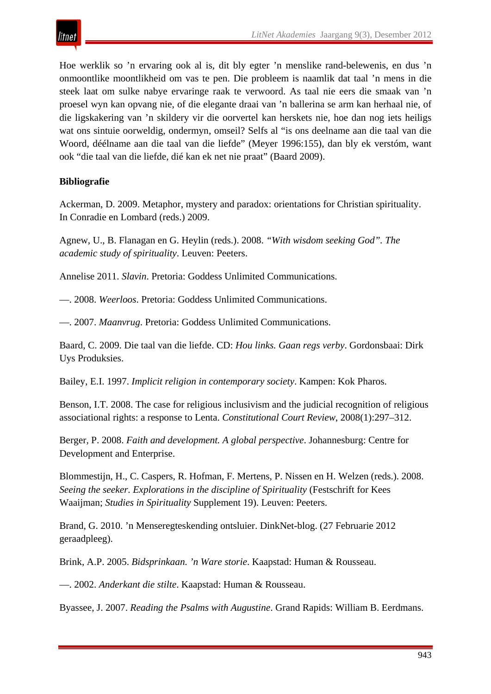

Hoe werklik so 'n ervaring ook al is, dit bly egter 'n menslike rand-belewenis, en dus 'n onmoontlike moontlikheid om vas te pen. Die probleem is naamlik dat taal 'n mens in die steek laat om sulke nabye ervaringe raak te verwoord. As taal nie eers die smaak van 'n proesel wyn kan opvang nie, of die elegante draai van 'n ballerina se arm kan herhaal nie, of die ligskakering van 'n skildery vir die oorvertel kan herskets nie, hoe dan nog iets heiligs wat ons sintuie oorweldig, ondermyn, omseil? Selfs al "is ons deelname aan die taal van die Woord, déélname aan die taal van die liefde" (Meyer 1996:155), dan bly ek verstóm, want ook "die taal van die liefde, dié kan ek net nie praat" (Baard 2009).

#### **Bibliografie**

Ackerman, D. 2009. Metaphor, mystery and paradox: orientations for Christian spirituality. In Conradie en Lombard (reds.) 2009.

Agnew, U., B. Flanagan en G. Heylin (reds.). 2008. *"With wisdom seeking God". The academic study of spirituality*. Leuven: Peeters.

Annelise 2011. *Slavin*. Pretoria: Goddess Unlimited Communications.

—. 2008. *Weerloos*. Pretoria: Goddess Unlimited Communications.

—. 2007. *Maanvrug*. Pretoria: Goddess Unlimited Communications.

Baard, C. 2009. Die taal van die liefde. CD: *Hou links. Gaan regs verby*. Gordonsbaai: Dirk Uys Produksies.

Bailey, E.I. 1997. *Implicit religion in contemporary society*. Kampen: Kok Pharos.

Benson, I.T. 2008. The case for religious inclusivism and the judicial recognition of religious associational rights: a response to Lenta. *Constitutional Court Review*, 2008(1):297–312.

Berger, P. 2008. *Faith and development. A global perspective*. Johannesburg: Centre for Development and Enterprise.

Blommestijn, H., C. Caspers, R. Hofman, F. Mertens, P. Nissen en H. Welzen (reds.). 2008. *Seeing the seeker. Explorations in the discipline of Spirituality* (Festschrift for Kees Waaijman; *Studies in Spirituality* Supplement 19). Leuven: Peeters.

Brand, G. 2010. 'n Menseregteskending ontsluier. DinkNet-blog. (27 Februarie 2012 geraadpleeg).

Brink, A.P. 2005. *Bidsprinkaan. 'n Ware storie*. Kaapstad: Human & Rousseau.

—. 2002. *Anderkant die stilte*. Kaapstad: Human & Rousseau.

Byassee, J. 2007. *Reading the Psalms with Augustine*. Grand Rapids: William B. Eerdmans.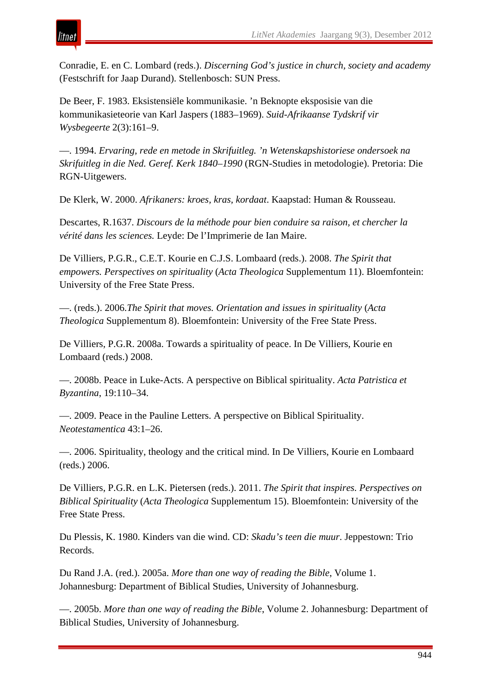

Conradie, E. en C. Lombard (reds.). *Discerning God's justice in church, society and academy* (Festschrift for Jaap Durand). Stellenbosch: SUN Press.

De Beer, F. 1983. Eksistensiële kommunikasie. 'n Beknopte eksposisie van die kommunikasieteorie van Karl Jaspers (1883–1969). *Suid-Afrikaanse Tydskrif vir Wysbegeerte* 2(3):161–9.

—. 1994. *Ervaring, rede en metode in Skrifuitleg. 'n Wetenskapshistoriese ondersoek na Skrifuitleg in die Ned. Geref. Kerk 1840–1990* (RGN-Studies in metodologie). Pretoria: Die RGN-Uitgewers.

De Klerk, W. 2000. *Afrikaners: kroes, kras, kordaat*. Kaapstad: Human & Rousseau.

Descartes, R.1637. *Discours de la méthode pour bien conduire sa raison, et chercher la vérité dans les sciences.* Leyde: De l'Imprimerie de Ian Maire.

De Villiers, P.G.R., C.E.T. Kourie en C.J.S. Lombaard (reds.). 2008. *The Spirit that empowers. Perspectives on spirituality* (*Acta Theologica* Supplementum 11). Bloemfontein: University of the Free State Press.

—. (reds.). 2006.*The Spirit that moves. Orientation and issues in spirituality* (*Acta Theologica* Supplementum 8). Bloemfontein: University of the Free State Press.

De Villiers, P.G.R. 2008a. Towards a spirituality of peace. In De Villiers, Kourie en Lombaard (reds.) 2008.

—. 2008b. Peace in Luke-Acts. A perspective on Biblical spirituality. *Acta Patristica et Byzantina*, 19:110–34.

—. 2009. Peace in the Pauline Letters. A perspective on Biblical Spirituality. *Neotestamentica* 43:1–26.

—. 2006. Spirituality, theology and the critical mind. In De Villiers, Kourie en Lombaard (reds.) 2006.

De Villiers, P.G.R. en L.K. Pietersen (reds.). 2011. *The Spirit that inspires. Perspectives on Biblical Spirituality* (*Acta Theologica* Supplementum 15). Bloemfontein: University of the Free State Press.

Du Plessis, K. 1980. Kinders van die wind. CD: *Skadu's teen die muur*. Jeppestown: Trio Records.

Du Rand J.A. (red.). 2005a. *More than one way of reading the Bible*, Volume 1. Johannesburg: Department of Biblical Studies, University of Johannesburg.

—. 2005b. *More than one way of reading the Bible*, Volume 2. Johannesburg: Department of Biblical Studies, University of Johannesburg.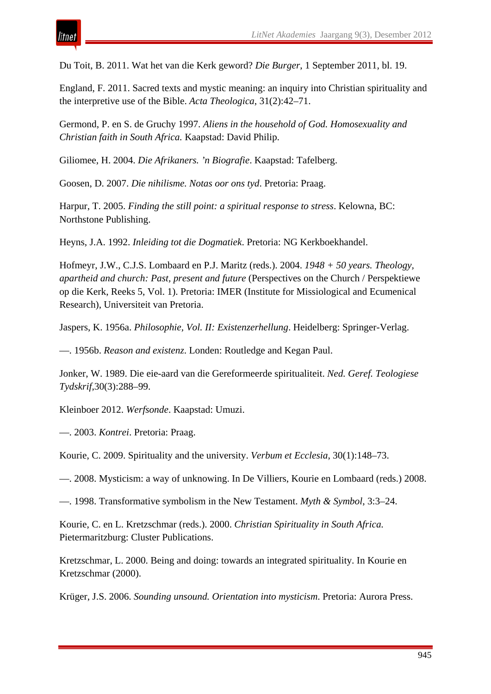Du Toit, B. 2011. Wat het van die Kerk geword? *Die Burger*, 1 September 2011, bl. 19.

England, F. 2011. Sacred texts and mystic meaning: an inquiry into Christian spirituality and the interpretive use of the Bible. *Acta Theologica*, 31(2):42–71.

Germond, P. en S. de Gruchy 1997. *Aliens in the household of God. Homosexuality and Christian faith in South Africa.* Kaapstad: David Philip.

Giliomee, H. 2004. *Die Afrikaners. 'n Biografie*. Kaapstad: Tafelberg.

Goosen, D. 2007. *Die nihilisme. Notas oor ons tyd*. Pretoria: Praag.

Harpur, T. 2005. *Finding the still point: a spiritual response to stress*. Kelowna, BC: Northstone Publishing.

Heyns, J.A. 1992. *Inleiding tot die Dogmatiek*. Pretoria: NG Kerkboekhandel.

Hofmeyr, J.W., C.J.S. Lombaard en P.J. Maritz (reds.). 2004. *1948 + 50 years. Theology, apartheid and church: Past, present and future* (Perspectives on the Church / Perspektiewe op die Kerk, Reeks 5, Vol. 1). Pretoria: IMER (Institute for Missiological and Ecumenical Research), Universiteit van Pretoria.

Jaspers, K. 1956a. *Philosophie, Vol. II: Existenzerhellung*. Heidelberg: Springer-Verlag.

—. 1956b. *Reason and existenz*. Londen: Routledge and Kegan Paul.

Jonker, W. 1989. Die eie-aard van die Gereformeerde spiritualiteit. *Ned. Geref. Teologiese Tydskrif*,30(3):288–99.

Kleinboer 2012. *Werfsonde*. Kaapstad: Umuzi.

—. 2003. *Kontrei*. Pretoria: Praag.

itnet

Kourie, C. 2009. Spirituality and the university. *Verbum et Ecclesia*, 30(1):148–73.

—. 2008. Mysticism: a way of unknowing. In De Villiers, Kourie en Lombaard (reds.) 2008.

—. 1998. Transformative symbolism in the New Testament. *Myth & Symbol*, 3:3–24.

Kourie, C. en L. Kretzschmar (reds.). 2000. *Christian Spirituality in South Africa.*  Pietermaritzburg: Cluster Publications.

Kretzschmar, L. 2000. Being and doing: towards an integrated spirituality. In Kourie en Kretzschmar (2000).

Krüger, J.S. 2006. *Sounding unsound. Orientation into mysticism*. Pretoria: Aurora Press.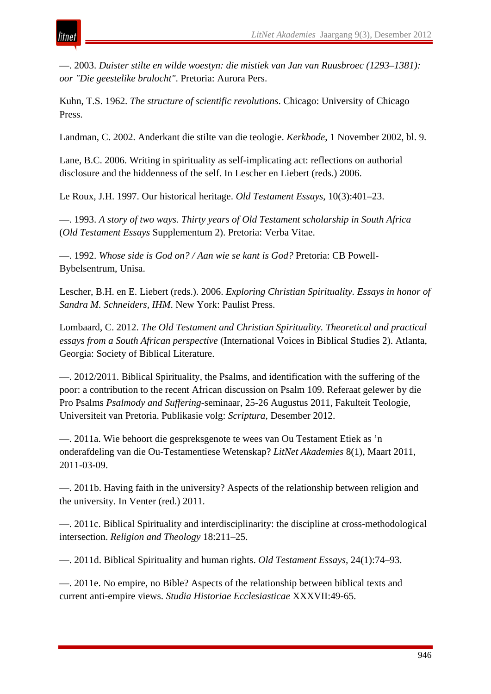—. 2003. *Duister stilte en wilde woestyn: die mistiek van Jan van Ruusbroec (1293–1381): oor "Die geestelike brulocht"*. Pretoria: Aurora Pers.

ıtnei

Kuhn, T.S. 1962. *The structure of scientific revolutions*. Chicago: University of Chicago Press.

Landman, C. 2002. Anderkant die stilte van die teologie. *Kerkbode*, 1 November 2002, bl. 9.

Lane, B.C. 2006. Writing in spirituality as self-implicating act: reflections on authorial disclosure and the hiddenness of the self. In Lescher en Liebert (reds.) 2006.

Le Roux, J.H. 1997. Our historical heritage. *Old Testament Essays*, 10(3):401–23.

—. 1993. *A story of two ways. Thirty years of Old Testament scholarship in South Africa* (*Old Testament Essays* Supplementum 2). Pretoria: Verba Vitae.

—. 1992. *Whose side is God on? / Aan wie se kant is God?* Pretoria: CB Powell-Bybelsentrum, Unisa.

Lescher, B.H. en E. Liebert (reds.). 2006. *Exploring Christian Spirituality. Essays in honor of Sandra M. Schneiders, IHM*. New York: Paulist Press.

Lombaard, C. 2012. *The Old Testament and Christian Spirituality. Theoretical and practical essays from a South African perspective* (International Voices in Biblical Studies 2). Atlanta, Georgia: Society of Biblical Literature.

—. 2012/2011. Biblical Spirituality, the Psalms, and identification with the suffering of the poor: a contribution to the recent African discussion on Psalm 109. Referaat gelewer by die Pro Psalms *Psalmody and Suffering*-seminaar, 25-26 Augustus 2011, Fakulteit Teologie, Universiteit van Pretoria. Publikasie volg: *Scriptura*, Desember 2012.

—. 2011a. Wie behoort die gespreksgenote te wees van Ou Testament Etiek as 'n onderafdeling van die Ou-Testamentiese Wetenskap? *LitNet Akademies* 8(1), Maart 2011, 2011-03-09.

—. 2011b. Having faith in the university? Aspects of the relationship between religion and the university. In Venter (red.) 2011.

—. 2011c. Biblical Spirituality and interdisciplinarity: the discipline at cross-methodological intersection. *Religion and Theology* 18:211–25.

—. 2011d. Biblical Spirituality and human rights. *Old Testament Essays*, 24(1):74–93.

—. 2011e. No empire, no Bible? Aspects of the relationship between biblical texts and current anti-empire views. *Studia Historiae Ecclesiasticae* XXXVII:49-65.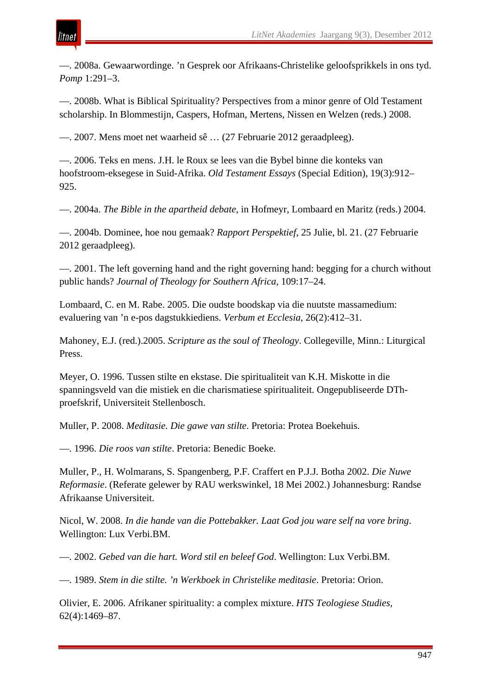—. 2008a. Gewaarwordinge. 'n Gesprek oor Afrikaans-Christelike geloofsprikkels in ons tyd. *Pomp* 1:291–3.

—. 2008b. What is Biblical Spirituality? Perspectives from a minor genre of Old Testament scholarship. In Blommestijn, Caspers, Hofman, Mertens, Nissen en Welzen (reds.) 2008.

—. 2007. Mens moet net waarheid sê … (27 Februarie 2012 geraadpleeg).

tnei

—. 2006. Teks en mens. J.H. le Roux se lees van die Bybel binne die konteks van hoofstroom-eksegese in Suid-Afrika. *Old Testament Essays* (Special Edition), 19(3):912– 925.

—. 2004a. *The Bible in the apartheid debate*, in Hofmeyr, Lombaard en Maritz (reds.) 2004.

—. 2004b. Dominee, hoe nou gemaak? *Rapport Perspektief*, 25 Julie, bl. 21. (27 Februarie 2012 geraadpleeg).

—. 2001. The left governing hand and the right governing hand: begging for a church without public hands? *Journal of Theology for Southern Africa*, 109:17–24.

Lombaard, C. en M. Rabe. 2005. Die oudste boodskap via die nuutste massamedium: evaluering van 'n e-pos dagstukkiediens. *Verbum et Ecclesia*, 26(2):412–31.

Mahoney, E.J. (red.).2005. *Scripture as the soul of Theology*. Collegeville, Minn.: Liturgical Press.

Meyer, O. 1996. Tussen stilte en ekstase. Die spiritualiteit van K.H. Miskotte in die spanningsveld van die mistiek en die charismatiese spiritualiteit. Ongepubliseerde DThproefskrif, Universiteit Stellenbosch.

Muller, P. 2008. *Meditasie. Die gawe van stilte*. Pretoria: Protea Boekehuis.

—. 1996. *Die roos van stilte*. Pretoria: Benedic Boeke.

Muller, P., H. Wolmarans, S. Spangenberg, P.F. Craffert en P.J.J. Botha 2002. *Die Nuwe Reformasie*. (Referate gelewer by RAU werkswinkel, 18 Mei 2002.) Johannesburg: Randse Afrikaanse Universiteit.

Nicol, W. 2008. *In die hande van die Pottebakker. Laat God jou ware self na vore bring*. Wellington: Lux Verbi.BM.

—. 2002. *Gebed van die hart. Word stil en beleef God*. Wellington: Lux Verbi.BM.

—. 1989. *Stem in die stilte. 'n Werkboek in Christelike meditasie*. Pretoria: Orion.

Olivier, E. 2006. Afrikaner spirituality: a complex mixture. *HTS Teologiese Studies*, 62(4):1469–87.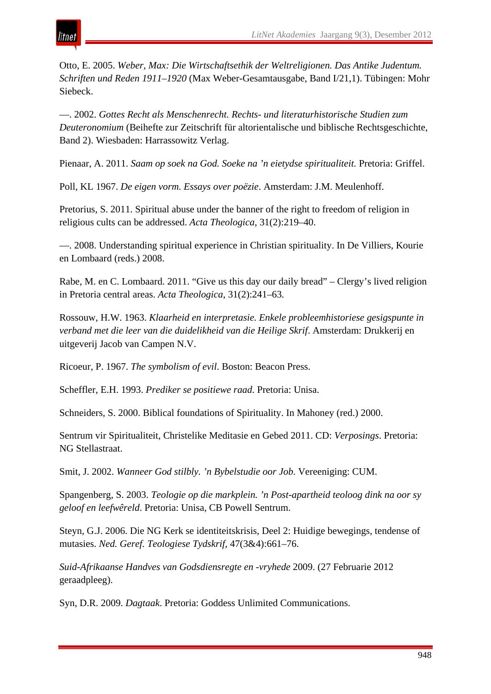Otto, E. 2005. *Weber, Max: Die Wirtschaftsethik der Weltreligionen. Das Antike Judentum. Schriften und Reden 1911–1920* (Max Weber-Gesamtausgabe, Band I/21,1). Tübingen: Mohr Siebeck.

—. 2002. *Gottes Recht als Menschenrecht. Rechts- und literaturhistorische Studien zum Deuteronomium* (Beihefte zur Zeitschrift für altorientalische und biblische Rechtsgeschichte, Band 2). Wiesbaden: Harrassowitz Verlag.

Pienaar, A. 2011. *Saam op soek na God. Soeke na 'n eietydse spiritualiteit.* Pretoria: Griffel.

Poll, KL 1967. *De eigen vorm. Essays over poëzie*. Amsterdam: J.M. Meulenhoff.

Pretorius, S. 2011. Spiritual abuse under the banner of the right to freedom of religion in religious cults can be addressed. *Acta Theologica*, 31(2):219–40.

—. 2008. Understanding spiritual experience in Christian spirituality. In De Villiers, Kourie en Lombaard (reds.) 2008.

Rabe, M. en C. Lombaard. 2011. "Give us this day our daily bread" – Clergy's lived religion in Pretoria central areas. *Acta Theologica*, 31(2):241–63*.*

Rossouw, H.W. 1963. *Klaarheid en interpretasie. Enkele probleemhistoriese gesigspunte in verband met die leer van die duidelikheid van die Heilige Skrif*. Amsterdam: Drukkerij en uitgeverij Jacob van Campen N.V.

Ricoeur, P. 1967. *The symbolism of evil*. Boston: Beacon Press.

Scheffler, E.H. 1993. *Prediker se positiewe raad*. Pretoria: Unisa.

Schneiders, S. 2000. Biblical foundations of Spirituality. In Mahoney (red.) 2000.

Sentrum vir Spiritualiteit, Christelike Meditasie en Gebed 2011. CD: *Verposings*. Pretoria: NG Stellastraat.

Smit, J. 2002. *Wanneer God stilbly. 'n Bybelstudie oor Job*. Vereeniging: CUM.

Spangenberg, S. 2003. *Teologie op die markplein. 'n Post-apartheid teoloog dink na oor sy geloof en leefwêreld*. Pretoria: Unisa, CB Powell Sentrum.

Steyn, G.J. 2006. Die NG Kerk se identiteitskrisis, Deel 2: Huidige bewegings, tendense of mutasies. *Ned. Geref. Teologiese Tydskrif*, 47(3&4):661–76.

*Suid-Afrikaanse Handves van Godsdiensregte en -vryhede* 2009. (27 Februarie 2012 geraadpleeg).

Syn, D.R. 2009. *Dagtaak*. Pretoria: Goddess Unlimited Communications.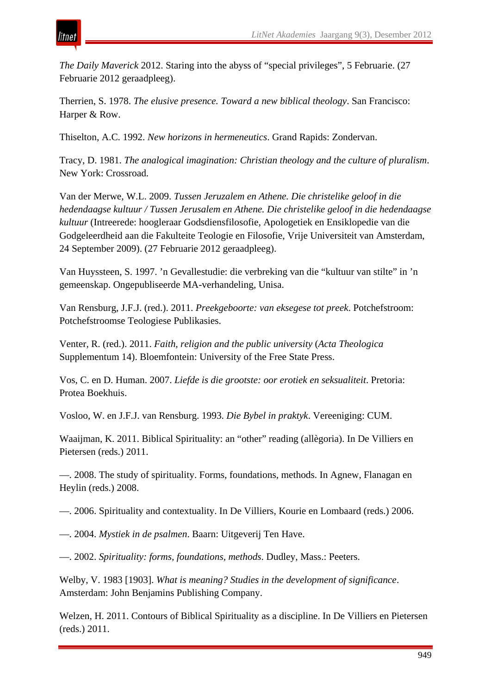*The Daily Maverick* 2012. Staring into the abyss of "special privileges", 5 Februarie. (27 Februarie 2012 geraadpleeg).

Therrien, S. 1978. *The elusive presence. Toward a new biblical theology*. San Francisco: Harper & Row.

Thiselton, A.C. 1992. *New horizons in hermeneutics*. Grand Rapids: Zondervan.

itnet

Tracy, D. 1981. *The analogical imagination: Christian theology and the culture of pluralism*. New York: Crossroad.

Van der Merwe, W.L. 2009. *Tussen Jeruzalem en Athene. Die christelike geloof in die hedendaagse kultuur / Tussen Jerusalem en Athene. Die christelike geloof in die hedendaagse kultuur* (Intreerede: hoogleraar Godsdiensfilosofie, Apologetiek en Ensiklopedie van die Godgeleerdheid aan die Fakulteite Teologie en Filosofie, Vrije Universiteit van Amsterdam, 24 September 2009). (27 Februarie 2012 geraadpleeg).

Van Huyssteen, S. 1997. 'n Gevallestudie: die verbreking van die "kultuur van stilte" in 'n gemeenskap. Ongepubliseerde MA-verhandeling, Unisa.

Van Rensburg, J.F.J. (red.). 2011. *Preekgeboorte: van eksegese tot preek*. Potchefstroom: Potchefstroomse Teologiese Publikasies.

Venter, R. (red.). 2011. *Faith, religion and the public university* (*Acta Theologica*  Supplementum 14). Bloemfontein: University of the Free State Press.

Vos, C. en D. Human. 2007. *Liefde is die grootste: oor erotiek en seksualiteit*. Pretoria: Protea Boekhuis.

Vosloo, W. en J.F.J. van Rensburg. 1993. *Die Bybel in praktyk*. Vereeniging: CUM.

Waaijman, K. 2011. Biblical Spirituality: an "other" reading (allègoria). In De Villiers en Pietersen (reds.) 2011.

—. 2008. The study of spirituality. Forms, foundations, methods. In Agnew, Flanagan en Heylin (reds.) 2008.

—. 2006. Spirituality and contextuality. In De Villiers, Kourie en Lombaard (reds.) 2006.

—. 2004. *Mystiek in de psalmen*. Baarn: Uitgeverij Ten Have.

—. 2002. *Spirituality: forms, foundations, methods*. Dudley, Mass.: Peeters.

Welby, V. 1983 [1903]. *What is meaning? Studies in the development of significance*. Amsterdam: John Benjamins Publishing Company.

Welzen, H. 2011. Contours of Biblical Spirituality as a discipline. In De Villiers en Pietersen (reds.) 2011.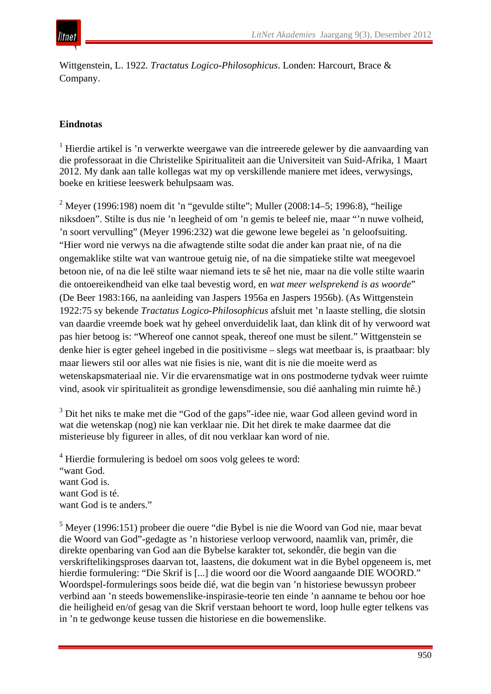

Wittgenstein, L. 1922. *Tractatus Logico-Philosophicus*. Londen: Harcourt, Brace & Company.

## **Eindnotas**

 $<sup>1</sup>$  Hierdie artikel is 'n verwerkte weergawe van die intreerede gelewer by die aanvaarding van</sup> die professoraat in die Christelike Spiritualiteit aan die Universiteit van Suid-Afrika, 1 Maart 2012. My dank aan talle kollegas wat my op verskillende maniere met idees, verwysings, boeke en kritiese leeswerk behulpsaam was.

<sup>2</sup> Meyer (1996:198) noem dit 'n "gevulde stilte"; Muller (2008:14–5; 1996:8), "heilige niksdoen". Stilte is dus nie 'n leegheid of om 'n gemis te beleef nie, maar "'n nuwe volheid, 'n soort vervulling" (Meyer 1996:232) wat die gewone lewe begelei as 'n geloofsuiting. "Hier word nie verwys na die afwagtende stilte sodat die ander kan praat nie, of na die ongemaklike stilte wat van wantroue getuig nie, of na die simpatieke stilte wat meegevoel betoon nie, of na die leë stilte waar niemand iets te sê het nie, maar na die volle stilte waarin die ontoereikendheid van elke taal bevestig word, en *wat meer welsprekend is as woorde*" (De Beer 1983:166, na aanleiding van Jaspers 1956a en Jaspers 1956b). (As Wittgenstein 1922:75 sy bekende *Tractatus Logico-Philosophicus* afsluit met 'n laaste stelling, die slotsin van daardie vreemde boek wat hy geheel onverduidelik laat, dan klink dit of hy verwoord wat pas hier betoog is: "Whereof one cannot speak, thereof one must be silent." Wittgenstein se denke hier is egter geheel ingebed in die positivisme – slegs wat meetbaar is, is praatbaar: bly maar liewers stil oor alles wat nie fisies is nie, want dit is nie die moeite werd as wetenskapsmateriaal nie. Vir die ervarensmatige wat in ons postmoderne tydvak weer ruimte vind, asook vir spiritualiteit as grondige lewensdimensie, sou dié aanhaling min ruimte hê.)

<sup>3</sup> Dit het niks te make met die "God of the gaps"-idee nie, waar God alleen gevind word in wat die wetenskap (nog) nie kan verklaar nie. Dit het direk te make daarmee dat die misterieuse bly figureer in alles, of dit nou verklaar kan word of nie.

<sup>4</sup> Hierdie formulering is bedoel om soos volg gelees te word: "want God. want God is. want God is té. want God is te anders."

<sup>5</sup> Meyer (1996:151) probeer die ouere "die Bybel is nie die Woord van God nie, maar bevat die Woord van God"-gedagte as 'n historiese verloop verwoord, naamlik van, primêr, die direkte openbaring van God aan die Bybelse karakter tot, sekondêr, die begin van die verskriftelikingsproses daarvan tot, laastens, die dokument wat in die Bybel opgeneem is, met hierdie formulering: "Die Skrif is [...] die woord oor die Woord aangaande DIE WOORD." Woordspel-formulerings soos beide dié, wat die begin van 'n historiese bewussyn probeer verbind aan 'n steeds bowemenslike-inspirasie-teorie ten einde 'n aanname te behou oor hoe die heiligheid en/of gesag van die Skrif verstaan behoort te word, loop hulle egter telkens vas in 'n te gedwonge keuse tussen die historiese en die bowemenslike.